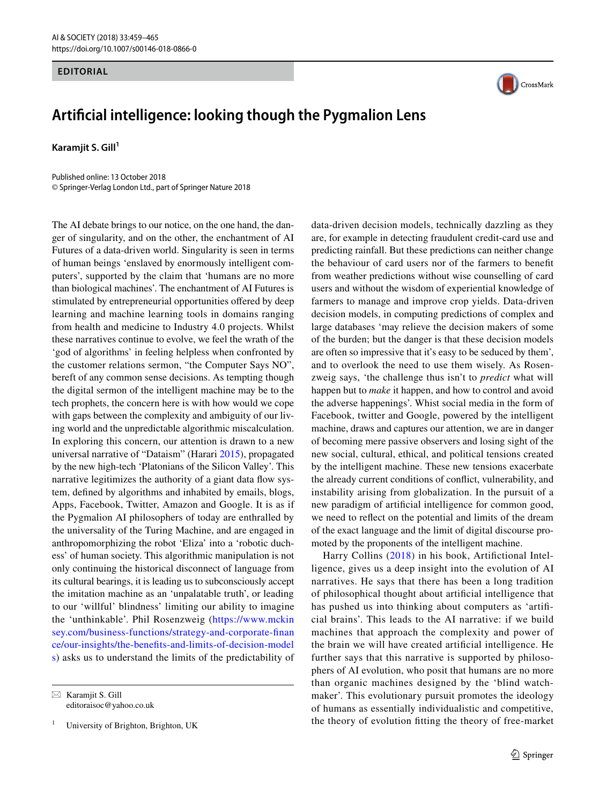## **EDITORIAL**



## **Artificial intelligence: looking though the Pygmalion Lens**

**Karamjit S. Gill**<sup>1</sup>

Published online: 13 October 2018 © Springer-Verlag London Ltd., part of Springer Nature 2018

The AI debate brings to our notice, on the one hand, the danger of singularity, and on the other, the enchantment of AI Futures of a data-driven world. Singularity is seen in terms of human beings 'enslaved by enormously intelligent computers', supported by the claim that 'humans are no more than biological machines'. The enchantment of AI Futures is stimulated by entrepreneurial opportunities offered by deep learning and machine learning tools in domains ranging from health and medicine to Industry 4.0 projects. Whilst these narratives continue to evolve, we feel the wrath of the 'god of algorithms' in feeling helpless when confronted by the customer relations sermon, "the Computer Says NO", bereft of any common sense decisions. As tempting though the digital sermon of the intelligent machine may be to the tech prophets, the concern here is with how would we cope with gaps between the complexity and ambiguity of our living world and the unpredictable algorithmic miscalculation. In exploring this concern, our attention is drawn to a new universal narrative of "Dataism" (Harari [2015](#page-6-0)), propagated by the new high-tech 'Platonians of the Silicon Valley'. This narrative legitimizes the authority of a giant data flow system, defined by algorithms and inhabited by emails, blogs, Apps, Facebook, Twitter, Amazon and Google. It is as if the Pygmalion AI philosophers of today are enthralled by the universality of the Turing Machine, and are engaged in anthropomorphizing the robot 'Eliza' into a 'robotic duchess' of human society. This algorithmic manipulation is not only continuing the historical disconnect of language from its cultural bearings, it is leading us to subconsciously accept the imitation machine as an 'unpalatable truth', or leading to our 'willful' blindness' limiting our ability to imagine the 'unthinkable'. Phil Rosenzweig ([https://www.mckin](https://www.mckinsey.com/business-functions/strategy-and-corporate-finance/our-insights/the-benefits-and-limits-of-decision-models) [sey.com/business-functions/strategy-and-corporate-finan](https://www.mckinsey.com/business-functions/strategy-and-corporate-finance/our-insights/the-benefits-and-limits-of-decision-models) [ce/our-insights/the-benefits-and-limits-of-decision-model](https://www.mckinsey.com/business-functions/strategy-and-corporate-finance/our-insights/the-benefits-and-limits-of-decision-models) [s](https://www.mckinsey.com/business-functions/strategy-and-corporate-finance/our-insights/the-benefits-and-limits-of-decision-models)) asks us to understand the limits of the predictability of data-driven decision models, technically dazzling as they are, for example in detecting fraudulent credit-card use and predicting rainfall. But these predictions can neither change the behaviour of card users nor of the farmers to benefit from weather predictions without wise counselling of card users and without the wisdom of experiential knowledge of farmers to manage and improve crop yields. Data-driven decision models, in computing predictions of complex and large databases 'may relieve the decision makers of some of the burden; but the danger is that these decision models are often so impressive that it's easy to be seduced by them', and to overlook the need to use them wisely. As Rosenzweig says, 'the challenge thus isn't to *predict* what will happen but to *make* it happen, and how to control and avoid the adverse happenings'. Whist social media in the form of Facebook, twitter and Google, powered by the intelligent machine, draws and captures our attention, we are in danger of becoming mere passive observers and losing sight of the new social, cultural, ethical, and political tensions created by the intelligent machine. These new tensions exacerbate the already current conditions of conflict, vulnerability, and instability arising from globalization. In the pursuit of a new paradigm of artificial intelligence for common good, we need to reflect on the potential and limits of the dream of the exact language and the limit of digital discourse promoted by the proponents of the intelligent machine.

Harry Collins [\(2018\)](#page-6-1) in his book, Artifictional Intelligence, gives us a deep insight into the evolution of AI narratives. He says that there has been a long tradition of philosophical thought about artificial intelligence that has pushed us into thinking about computers as 'artificial brains'. This leads to the AI narrative: if we build machines that approach the complexity and power of the brain we will have created artificial intelligence. He further says that this narrative is supported by philosophers of AI evolution, who posit that humans are no more than organic machines designed by the 'blind watchmaker'. This evolutionary pursuit promotes the ideology of humans as essentially individualistic and competitive, the theory of evolution fitting the theory of free-market

 $\boxtimes$  Karamjit S. Gill editoraisoc@yahoo.co.uk

University of Brighton, Brighton, UK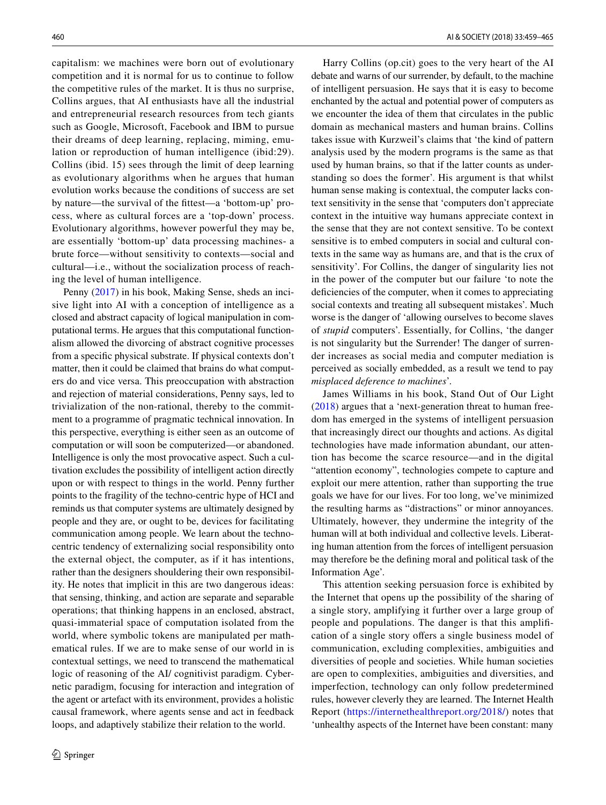capitalism: we machines were born out of evolutionary competition and it is normal for us to continue to follow the competitive rules of the market. It is thus no surprise, Collins argues, that AI enthusiasts have all the industrial and entrepreneurial research resources from tech giants such as Google, Microsoft, Facebook and IBM to pursue their dreams of deep learning, replacing, miming, emulation or reproduction of human intelligence (ibid:29). Collins (ibid. 15) sees through the limit of deep learning as evolutionary algorithms when he argues that human evolution works because the conditions of success are set by nature—the survival of the fittest—a 'bottom-up' process, where as cultural forces are a 'top-down' process. Evolutionary algorithms, however powerful they may be, are essentially 'bottom-up' data processing machines- a brute force—without sensitivity to contexts—social and cultural—i.e., without the socialization process of reaching the level of human intelligence.

Penny [\(2017\)](#page-6-2) in his book, Making Sense, sheds an incisive light into AI with a conception of intelligence as a closed and abstract capacity of logical manipulation in computational terms. He argues that this computational functionalism allowed the divorcing of abstract cognitive processes from a specific physical substrate. If physical contexts don't matter, then it could be claimed that brains do what computers do and vice versa. This preoccupation with abstraction and rejection of material considerations, Penny says, led to trivialization of the non-rational, thereby to the commitment to a programme of pragmatic technical innovation. In this perspective, everything is either seen as an outcome of computation or will soon be computerized—or abandoned. Intelligence is only the most provocative aspect. Such a cultivation excludes the possibility of intelligent action directly upon or with respect to things in the world. Penny further points to the fragility of the techno-centric hype of HCI and reminds us that computer systems are ultimately designed by people and they are, or ought to be, devices for facilitating communication among people. We learn about the technocentric tendency of externalizing social responsibility onto the external object, the computer, as if it has intentions, rather than the designers shouldering their own responsibility. He notes that implicit in this are two dangerous ideas: that sensing, thinking, and action are separate and separable operations; that thinking happens in an enclosed, abstract, quasi-immaterial space of computation isolated from the world, where symbolic tokens are manipulated per mathematical rules. If we are to make sense of our world in is contextual settings, we need to transcend the mathematical logic of reasoning of the AI/ cognitivist paradigm. Cybernetic paradigm, focusing for interaction and integration of the agent or artefact with its environment, provides a holistic causal framework, where agents sense and act in feedback loops, and adaptively stabilize their relation to the world.

Harry Collins (op.cit) goes to the very heart of the AI debate and warns of our surrender, by default, to the machine of intelligent persuasion. He says that it is easy to become enchanted by the actual and potential power of computers as we encounter the idea of them that circulates in the public domain as mechanical masters and human brains. Collins takes issue with Kurzweil's claims that 'the kind of pattern analysis used by the modern programs is the same as that used by human brains, so that if the latter counts as understanding so does the former'. His argument is that whilst human sense making is contextual, the computer lacks context sensitivity in the sense that 'computers don't appreciate context in the intuitive way humans appreciate context in the sense that they are not context sensitive. To be context sensitive is to embed computers in social and cultural contexts in the same way as humans are, and that is the crux of sensitivity'. For Collins, the danger of singularity lies not in the power of the computer but our failure 'to note the deficiencies of the computer, when it comes to appreciating social contexts and treating all subsequent mistakes'. Much worse is the danger of 'allowing ourselves to become slaves of *stupid* computers'. Essentially, for Collins, 'the danger is not singularity but the Surrender! The danger of surrender increases as social media and computer mediation is perceived as socially embedded, as a result we tend to pay *misplaced deference to machines*'.

James Williams in his book, Stand Out of Our Light ([2018\)](#page-6-3) argues that a 'next-generation threat to human freedom has emerged in the systems of intelligent persuasion that increasingly direct our thoughts and actions. As digital technologies have made information abundant, our attention has become the scarce resource—and in the digital "attention economy", technologies compete to capture and exploit our mere attention, rather than supporting the true goals we have for our lives. For too long, we've minimized the resulting harms as "distractions" or minor annoyances. Ultimately, however, they undermine the integrity of the human will at both individual and collective levels. Liberating human attention from the forces of intelligent persuasion may therefore be the defining moral and political task of the Information Age'.

This attention seeking persuasion force is exhibited by the Internet that opens up the possibility of the sharing of a single story, amplifying it further over a large group of people and populations. The danger is that this amplification of a single story offers a single business model of communication, excluding complexities, ambiguities and diversities of people and societies. While human societies are open to complexities, ambiguities and diversities, and imperfection, technology can only follow predetermined rules, however cleverly they are learned. The Internet Health Report [\(https://internethealthreport.org/2018/\)](https://internethealthreport.org/2018/) notes that 'unhealthy aspects of the Internet have been constant: many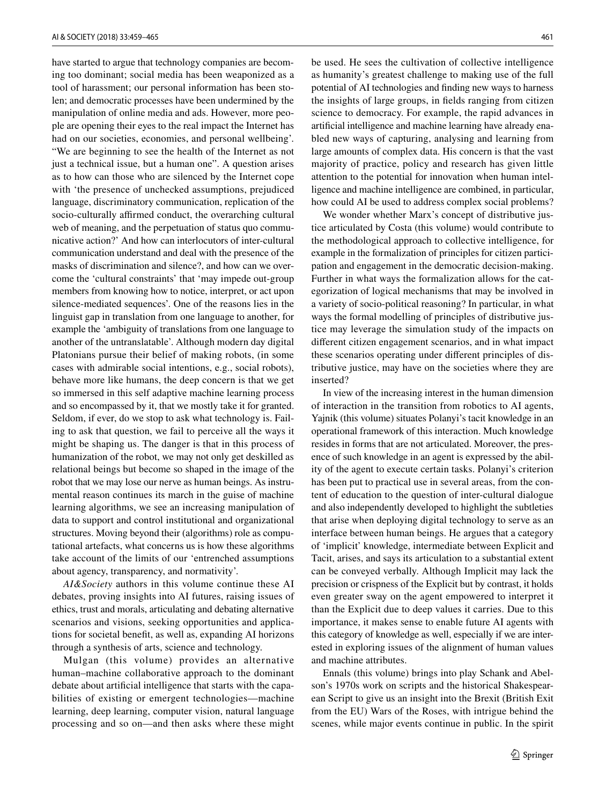have started to argue that technology companies are becoming too dominant; social media has been weaponized as a tool of harassment; our personal information has been stolen; and democratic processes have been undermined by the manipulation of online media and ads. However, more people are opening their eyes to the real impact the Internet has had on our societies, economies, and personal wellbeing'. "We are beginning to see the health of the Internet as not just a technical issue, but a human one". A question arises as to how can those who are silenced by the Internet cope with 'the presence of unchecked assumptions, prejudiced language, discriminatory communication, replication of the socio-culturally affirmed conduct, the overarching cultural web of meaning, and the perpetuation of status quo communicative action?' And how can interlocutors of inter-cultural communication understand and deal with the presence of the masks of discrimination and silence?, and how can we overcome the 'cultural constraints' that 'may impede out-group members from knowing how to notice, interpret, or act upon silence-mediated sequences'. One of the reasons lies in the linguist gap in translation from one language to another, for example the 'ambiguity of translations from one language to another of the untranslatable'. Although modern day digital Platonians pursue their belief of making robots, (in some cases with admirable social intentions, e.g., social robots), behave more like humans, the deep concern is that we get so immersed in this self adaptive machine learning process and so encompassed by it, that we mostly take it for granted. Seldom, if ever, do we stop to ask what technology is. Failing to ask that question, we fail to perceive all the ways it might be shaping us. The danger is that in this process of humanization of the robot, we may not only get deskilled as relational beings but become so shaped in the image of the robot that we may lose our nerve as human beings. As instrumental reason continues its march in the guise of machine learning algorithms, we see an increasing manipulation of data to support and control institutional and organizational structures. Moving beyond their (algorithms) role as computational artefacts, what concerns us is how these algorithms take account of the limits of our 'entrenched assumptions about agency, transparency, and normativity'.

*AI&Society* authors in this volume continue these AI debates, proving insights into AI futures, raising issues of ethics, trust and morals, articulating and debating alternative scenarios and visions, seeking opportunities and applications for societal benefit, as well as, expanding AI horizons through a synthesis of arts, science and technology.

Mulgan (this volume) provides an alternative human–machine collaborative approach to the dominant debate about artificial intelligence that starts with the capabilities of existing or emergent technologies—machine learning, deep learning, computer vision, natural language processing and so on—and then asks where these might be used. He sees the cultivation of collective intelligence as humanity's greatest challenge to making use of the full potential of AI technologies and finding new ways to harness the insights of large groups, in fields ranging from citizen science to democracy. For example, the rapid advances in artificial intelligence and machine learning have already enabled new ways of capturing, analysing and learning from large amounts of complex data. His concern is that the vast majority of practice, policy and research has given little attention to the potential for innovation when human intelligence and machine intelligence are combined, in particular, how could AI be used to address complex social problems?

We wonder whether Marx's concept of distributive justice articulated by Costa (this volume) would contribute to the methodological approach to collective intelligence, for example in the formalization of principles for citizen participation and engagement in the democratic decision-making. Further in what ways the formalization allows for the categorization of logical mechanisms that may be involved in a variety of socio-political reasoning? In particular, in what ways the formal modelling of principles of distributive justice may leverage the simulation study of the impacts on different citizen engagement scenarios, and in what impact these scenarios operating under different principles of distributive justice, may have on the societies where they are inserted?

In view of the increasing interest in the human dimension of interaction in the transition from robotics to AI agents, Yajnik (this volume) situates Polanyi's tacit knowledge in an operational framework of this interaction. Much knowledge resides in forms that are not articulated. Moreover, the presence of such knowledge in an agent is expressed by the ability of the agent to execute certain tasks. Polanyi's criterion has been put to practical use in several areas, from the content of education to the question of inter-cultural dialogue and also independently developed to highlight the subtleties that arise when deploying digital technology to serve as an interface between human beings. He argues that a category of 'implicit' knowledge, intermediate between Explicit and Tacit, arises, and says its articulation to a substantial extent can be conveyed verbally. Although Implicit may lack the precision or crispness of the Explicit but by contrast, it holds even greater sway on the agent empowered to interpret it than the Explicit due to deep values it carries. Due to this importance, it makes sense to enable future AI agents with this category of knowledge as well, especially if we are interested in exploring issues of the alignment of human values and machine attributes.

Ennals (this volume) brings into play Schank and Abelson's 1970s work on scripts and the historical Shakespearean Script to give us an insight into the Brexit (British Exit from the EU) Wars of the Roses, with intrigue behind the scenes, while major events continue in public. In the spirit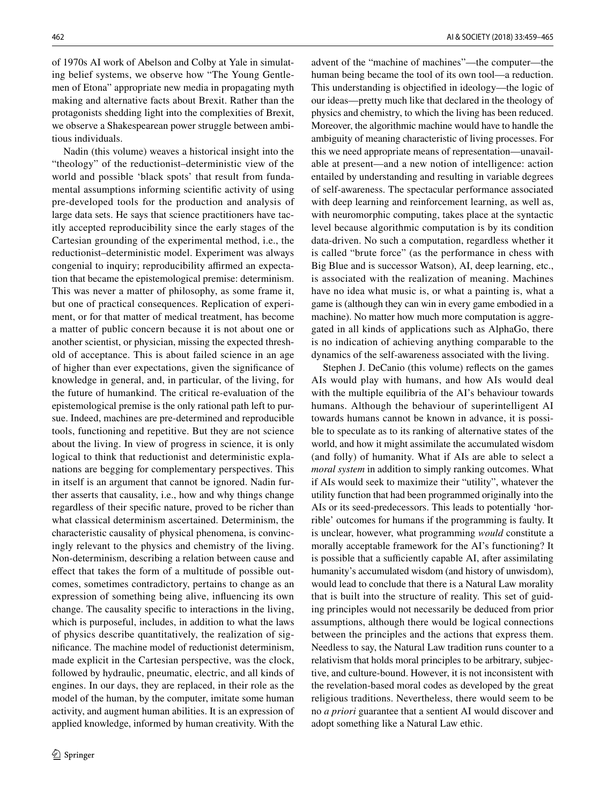of 1970s AI work of Abelson and Colby at Yale in simulating belief systems, we observe how "The Young Gentlemen of Etona" appropriate new media in propagating myth making and alternative facts about Brexit. Rather than the protagonists shedding light into the complexities of Brexit, we observe a Shakespearean power struggle between ambitious individuals.

Nadin (this volume) weaves a historical insight into the "theology" of the reductionist–deterministic view of the world and possible 'black spots' that result from fundamental assumptions informing scientific activity of using pre-developed tools for the production and analysis of large data sets. He says that science practitioners have tacitly accepted reproducibility since the early stages of the Cartesian grounding of the experimental method, i.e., the reductionist–deterministic model. Experiment was always congenial to inquiry; reproducibility affirmed an expectation that became the epistemological premise: determinism. This was never a matter of philosophy, as some frame it, but one of practical consequences. Replication of experiment, or for that matter of medical treatment, has become a matter of public concern because it is not about one or another scientist, or physician, missing the expected threshold of acceptance. This is about failed science in an age of higher than ever expectations, given the significance of knowledge in general, and, in particular, of the living, for the future of humankind. The critical re-evaluation of the epistemological premise is the only rational path left to pursue. Indeed, machines are pre-determined and reproducible tools, functioning and repetitive. But they are not science about the living. In view of progress in science, it is only logical to think that reductionist and deterministic explanations are begging for complementary perspectives. This in itself is an argument that cannot be ignored. Nadin further asserts that causality, i.e., how and why things change regardless of their specific nature, proved to be richer than what classical determinism ascertained. Determinism, the characteristic causality of physical phenomena, is convincingly relevant to the physics and chemistry of the living. Non-determinism, describing a relation between cause and effect that takes the form of a multitude of possible outcomes, sometimes contradictory, pertains to change as an expression of something being alive, influencing its own change. The causality specific to interactions in the living, which is purposeful, includes, in addition to what the laws of physics describe quantitatively, the realization of significance. The machine model of reductionist determinism, made explicit in the Cartesian perspective, was the clock, followed by hydraulic, pneumatic, electric, and all kinds of engines. In our days, they are replaced, in their role as the model of the human, by the computer, imitate some human activity, and augment human abilities. It is an expression of applied knowledge, informed by human creativity. With the advent of the "machine of machines"—the computer—the human being became the tool of its own tool—a reduction. This understanding is objectified in ideology—the logic of our ideas—pretty much like that declared in the theology of physics and chemistry, to which the living has been reduced. Moreover, the algorithmic machine would have to handle the ambiguity of meaning characteristic of living processes. For this we need appropriate means of representation—unavailable at present—and a new notion of intelligence: action entailed by understanding and resulting in variable degrees of self-awareness. The spectacular performance associated with deep learning and reinforcement learning, as well as, with neuromorphic computing, takes place at the syntactic level because algorithmic computation is by its condition data-driven. No such a computation, regardless whether it is called "brute force" (as the performance in chess with Big Blue and is successor Watson), AI, deep learning, etc., is associated with the realization of meaning. Machines have no idea what music is, or what a painting is, what a game is (although they can win in every game embodied in a machine). No matter how much more computation is aggregated in all kinds of applications such as AlphaGo, there is no indication of achieving anything comparable to the dynamics of the self-awareness associated with the living.

Stephen J. DeCanio (this volume) reflects on the games AIs would play with humans, and how AIs would deal with the multiple equilibria of the AI's behaviour towards humans. Although the behaviour of superintelligent AI towards humans cannot be known in advance, it is possible to speculate as to its ranking of alternative states of the world, and how it might assimilate the accumulated wisdom (and folly) of humanity. What if AIs are able to select a *moral system* in addition to simply ranking outcomes. What if AIs would seek to maximize their "utility", whatever the utility function that had been programmed originally into the AIs or its seed-predecessors. This leads to potentially 'horrible' outcomes for humans if the programming is faulty. It is unclear, however, what programming *would* constitute a morally acceptable framework for the AI's functioning? It is possible that a sufficiently capable AI, after assimilating humanity's accumulated wisdom (and history of unwisdom), would lead to conclude that there is a Natural Law morality that is built into the structure of reality. This set of guiding principles would not necessarily be deduced from prior assumptions, although there would be logical connections between the principles and the actions that express them. Needless to say, the Natural Law tradition runs counter to a relativism that holds moral principles to be arbitrary, subjective, and culture-bound. However, it is not inconsistent with the revelation-based moral codes as developed by the great religious traditions. Nevertheless, there would seem to be no *a priori* guarantee that a sentient AI would discover and adopt something like a Natural Law ethic.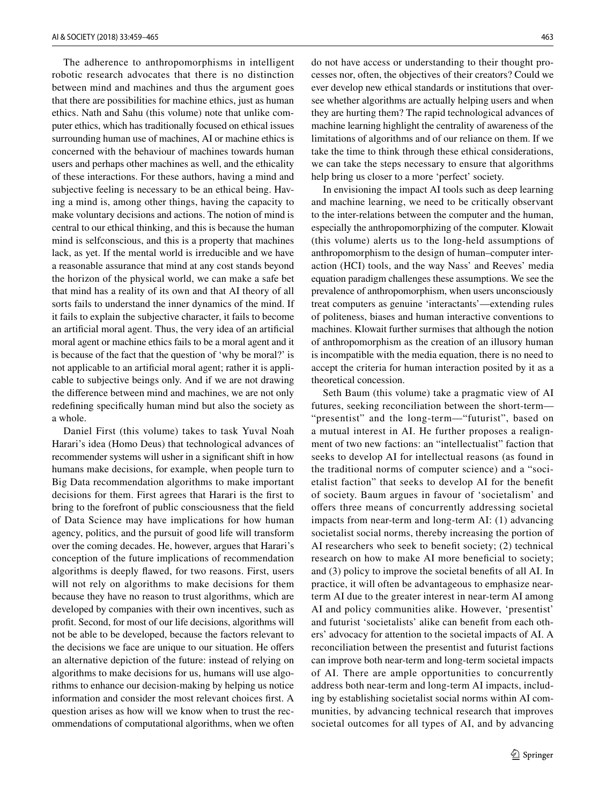The adherence to anthropomorphisms in intelligent robotic research advocates that there is no distinction between mind and machines and thus the argument goes that there are possibilities for machine ethics, just as human ethics. Nath and Sahu (this volume) note that unlike computer ethics, which has traditionally focused on ethical issues surrounding human use of machines, AI or machine ethics is concerned with the behaviour of machines towards human users and perhaps other machines as well, and the ethicality of these interactions. For these authors, having a mind and subjective feeling is necessary to be an ethical being. Having a mind is, among other things, having the capacity to make voluntary decisions and actions. The notion of mind is central to our ethical thinking, and this is because the human mind is selfconscious, and this is a property that machines lack, as yet. If the mental world is irreducible and we have a reasonable assurance that mind at any cost stands beyond the horizon of the physical world, we can make a safe bet that mind has a reality of its own and that AI theory of all sorts fails to understand the inner dynamics of the mind. If it fails to explain the subjective character, it fails to become an artificial moral agent. Thus, the very idea of an artificial moral agent or machine ethics fails to be a moral agent and it is because of the fact that the question of 'why be moral?' is not applicable to an artificial moral agent; rather it is applicable to subjective beings only. And if we are not drawing the difference between mind and machines, we are not only redefining specifically human mind but also the society as a whole.

Daniel First (this volume) takes to task Yuval Noah Harari's idea (Homo Deus) that technological advances of recommender systems will usher in a significant shift in how humans make decisions, for example, when people turn to Big Data recommendation algorithms to make important decisions for them. First agrees that Harari is the first to bring to the forefront of public consciousness that the field of Data Science may have implications for how human agency, politics, and the pursuit of good life will transform over the coming decades. He, however, argues that Harari's conception of the future implications of recommendation algorithms is deeply flawed, for two reasons. First, users will not rely on algorithms to make decisions for them because they have no reason to trust algorithms, which are developed by companies with their own incentives, such as profit. Second, for most of our life decisions, algorithms will not be able to be developed, because the factors relevant to the decisions we face are unique to our situation. He offers an alternative depiction of the future: instead of relying on algorithms to make decisions for us, humans will use algorithms to enhance our decision-making by helping us notice information and consider the most relevant choices first. A question arises as how will we know when to trust the recommendations of computational algorithms, when we often do not have access or understanding to their thought processes nor, often, the objectives of their creators? Could we ever develop new ethical standards or institutions that oversee whether algorithms are actually helping users and when they are hurting them? The rapid technological advances of machine learning highlight the centrality of awareness of the limitations of algorithms and of our reliance on them. If we take the time to think through these ethical considerations, we can take the steps necessary to ensure that algorithms help bring us closer to a more 'perfect' society.

In envisioning the impact AI tools such as deep learning and machine learning, we need to be critically observant to the inter-relations between the computer and the human, especially the anthropomorphizing of the computer. Klowait (this volume) alerts us to the long-held assumptions of anthropomorphism to the design of human–computer interaction (HCI) tools, and the way Nass' and Reeves' media equation paradigm challenges these assumptions. We see the prevalence of anthropomorphism, when users unconsciously treat computers as genuine 'interactants'—extending rules of politeness, biases and human interactive conventions to machines. Klowait further surmises that although the notion of anthropomorphism as the creation of an illusory human is incompatible with the media equation, there is no need to accept the criteria for human interaction posited by it as a theoretical concession.

Seth Baum (this volume) take a pragmatic view of AI futures, seeking reconciliation between the short-term— "presentist" and the long-term—"futurist", based on a mutual interest in AI. He further proposes a realignment of two new factions: an "intellectualist" faction that seeks to develop AI for intellectual reasons (as found in the traditional norms of computer science) and a "societalist faction" that seeks to develop AI for the benefit of society. Baum argues in favour of 'societalism' and offers three means of concurrently addressing societal impacts from near-term and long-term AI: (1) advancing societalist social norms, thereby increasing the portion of AI researchers who seek to benefit society; (2) technical research on how to make AI more beneficial to society; and (3) policy to improve the societal benefits of all AI. In practice, it will often be advantageous to emphasize nearterm AI due to the greater interest in near-term AI among AI and policy communities alike. However, 'presentist' and futurist 'societalists' alike can benefit from each others' advocacy for attention to the societal impacts of AI. A reconciliation between the presentist and futurist factions can improve both near-term and long-term societal impacts of AI. There are ample opportunities to concurrently address both near-term and long-term AI impacts, including by establishing societalist social norms within AI communities, by advancing technical research that improves societal outcomes for all types of AI, and by advancing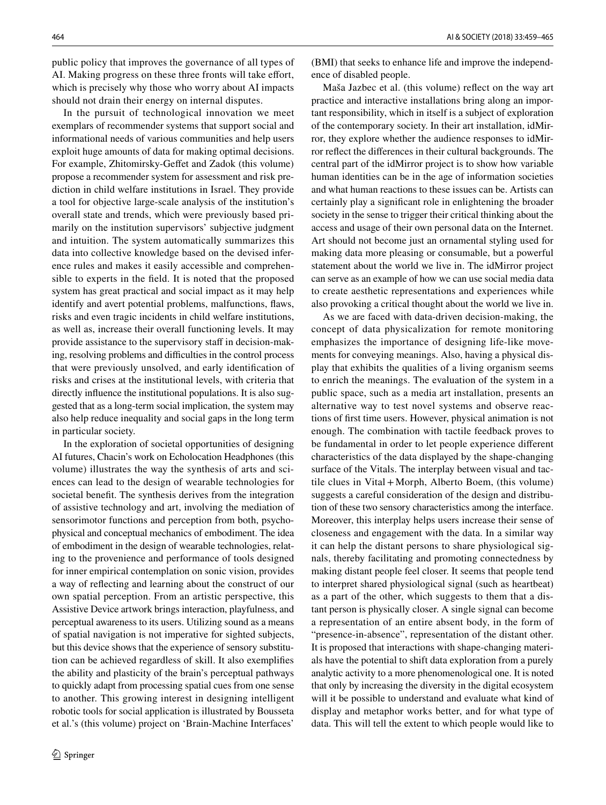public policy that improves the governance of all types of AI. Making progress on these three fronts will take effort, which is precisely why those who worry about AI impacts should not drain their energy on internal disputes.

In the pursuit of technological innovation we meet exemplars of recommender systems that support social and informational needs of various communities and help users exploit huge amounts of data for making optimal decisions. For example, Zhitomirsky-Geffet and Zadok (this volume) propose a recommender system for assessment and risk prediction in child welfare institutions in Israel. They provide a tool for objective large-scale analysis of the institution's overall state and trends, which were previously based primarily on the institution supervisors' subjective judgment and intuition. The system automatically summarizes this data into collective knowledge based on the devised inference rules and makes it easily accessible and comprehensible to experts in the field. It is noted that the proposed system has great practical and social impact as it may help identify and avert potential problems, malfunctions, flaws, risks and even tragic incidents in child welfare institutions, as well as, increase their overall functioning levels. It may provide assistance to the supervisory staff in decision-making, resolving problems and difficulties in the control process that were previously unsolved, and early identification of risks and crises at the institutional levels, with criteria that directly influence the institutional populations. It is also suggested that as a long-term social implication, the system may also help reduce inequality and social gaps in the long term in particular society.

In the exploration of societal opportunities of designing AI futures, Chacin's work on Echolocation Headphones (this volume) illustrates the way the synthesis of arts and sciences can lead to the design of wearable technologies for societal benefit. The synthesis derives from the integration of assistive technology and art, involving the mediation of sensorimotor functions and perception from both, psychophysical and conceptual mechanics of embodiment. The idea of embodiment in the design of wearable technologies, relating to the provenience and performance of tools designed for inner empirical contemplation on sonic vision, provides a way of reflecting and learning about the construct of our own spatial perception. From an artistic perspective, this Assistive Device artwork brings interaction, playfulness, and perceptual awareness to its users. Utilizing sound as a means of spatial navigation is not imperative for sighted subjects, but this device shows that the experience of sensory substitution can be achieved regardless of skill. It also exemplifies the ability and plasticity of the brain's perceptual pathways to quickly adapt from processing spatial cues from one sense to another. This growing interest in designing intelligent robotic tools for social application is illustrated by Bousseta et al.'s (this volume) project on 'Brain-Machine Interfaces'

(BMI) that seeks to enhance life and improve the independence of disabled people.

Maša Jazbec et al. (this volume) reflect on the way art practice and interactive installations bring along an important responsibility, which in itself is a subject of exploration of the contemporary society. In their art installation, idMirror, they explore whether the audience responses to idMirror reflect the differences in their cultural backgrounds. The central part of the idMirror project is to show how variable human identities can be in the age of information societies and what human reactions to these issues can be. Artists can certainly play a significant role in enlightening the broader society in the sense to trigger their critical thinking about the access and usage of their own personal data on the Internet. Art should not become just an ornamental styling used for making data more pleasing or consumable, but a powerful statement about the world we live in. The idMirror project can serve as an example of how we can use social media data to create aesthetic representations and experiences while also provoking a critical thought about the world we live in.

As we are faced with data-driven decision-making, the concept of data physicalization for remote monitoring emphasizes the importance of designing life-like movements for conveying meanings. Also, having a physical display that exhibits the qualities of a living organism seems to enrich the meanings. The evaluation of the system in a public space, such as a media art installation, presents an alternative way to test novel systems and observe reactions of first time users. However, physical animation is not enough. The combination with tactile feedback proves to be fundamental in order to let people experience different characteristics of the data displayed by the shape-changing surface of the Vitals. The interplay between visual and tactile clues in Vital+ Morph, Alberto Boem, (this volume) suggests a careful consideration of the design and distribution of these two sensory characteristics among the interface. Moreover, this interplay helps users increase their sense of closeness and engagement with the data. In a similar way it can help the distant persons to share physiological signals, thereby facilitating and promoting connectedness by making distant people feel closer. It seems that people tend to interpret shared physiological signal (such as heartbeat) as a part of the other, which suggests to them that a distant person is physically closer. A single signal can become a representation of an entire absent body, in the form of "presence-in-absence", representation of the distant other. It is proposed that interactions with shape-changing materials have the potential to shift data exploration from a purely analytic activity to a more phenomenological one. It is noted that only by increasing the diversity in the digital ecosystem will it be possible to understand and evaluate what kind of display and metaphor works better, and for what type of data. This will tell the extent to which people would like to